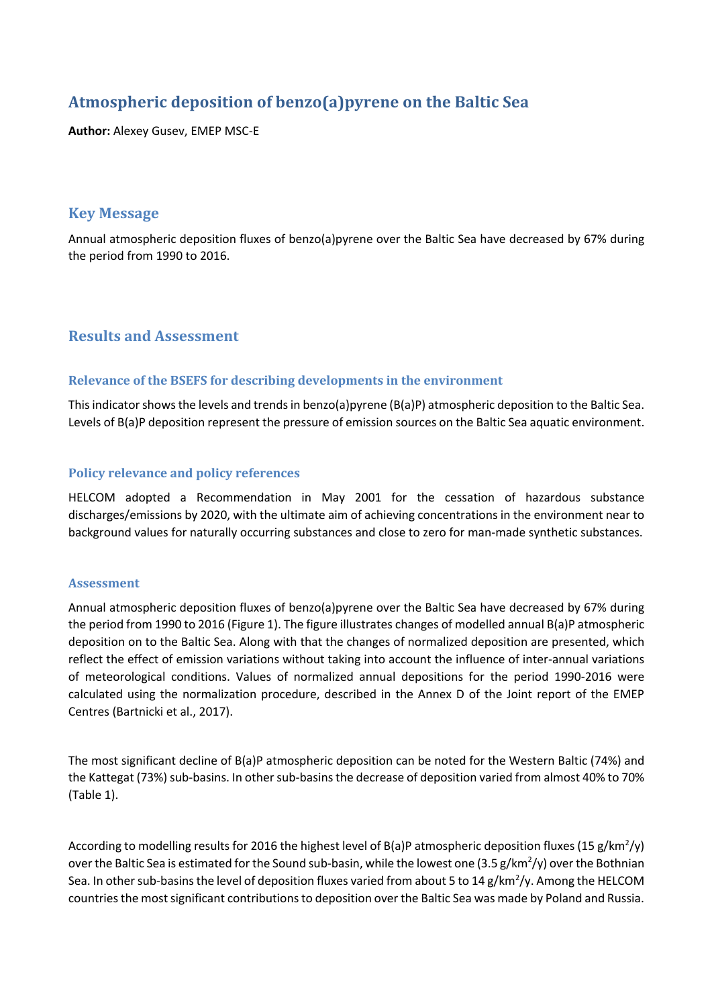# Atmospheric deposition of benzo(a)pyrene on the Baltic Sea

**Author:** Alexey Gusev, EMEP MSC-E

# **Key Message**

Annual atmospheric deposition fluxes of benzo(a)pyrene over the Baltic Sea have decreased by 67% during the period from 1990 to 2016.

# **Results and Assessment**

## **Relevance of the BSEFS for describing developments in the environment**

This indicator shows the levels and trends in benzo(a)pyrene (B(a)P) atmospheric deposition to the Baltic Sea. Levels of B(a)P deposition represent the pressure of emission sources on the Baltic Sea aquatic environment.

## **Policy relevance and policy references**

HELCOM adopted a Recommendation in May 2001 for the cessation of hazardous substance discharges/emissions by 2020, with the ultimate aim of achieving concentrations in the environment near to background values for naturally occurring substances and close to zero for man-made synthetic substances.

#### **Assessment**

Annual atmospheric deposition fluxes of benzo(a)pyrene over the Baltic Sea have decreased by 67% during the period from 1990 to 2016 (Figure 1). The figure illustrates changes of modelled annual B(a)P atmospheric deposition on to the Baltic Sea. Along with that the changes of normalized deposition are presented, which reflect the effect of emission variations without taking into account the influence of inter-annual variations of meteorological conditions. Values of normalized annual depositions for the period 1990-2016 were calculated using the normalization procedure, described in the Annex D of the Joint report of the EMEP Centres (Bartnicki et al., 2017).

The most significant decline of B(a)P atmospheric deposition can be noted for the Western Baltic (74%) and the Kattegat (73%) sub-basins. In other sub-basins the decrease of deposition varied from almost 40% to 70% (Table 1).

According to modelling results for 2016 the highest level of B(a)P atmospheric deposition fluxes (15 g/km<sup>2</sup>/y) over the Baltic Sea is estimated for the Sound sub-basin, while the lowest one (3.5 g/km<sup>2</sup>/y) over the Bothnian Sea. In other sub-basins the level of deposition fluxes varied from about 5 to 14 g/km<sup>2</sup>/y. Among the HELCOM countries the most significant contributions to deposition over the Baltic Sea was made by Poland and Russia.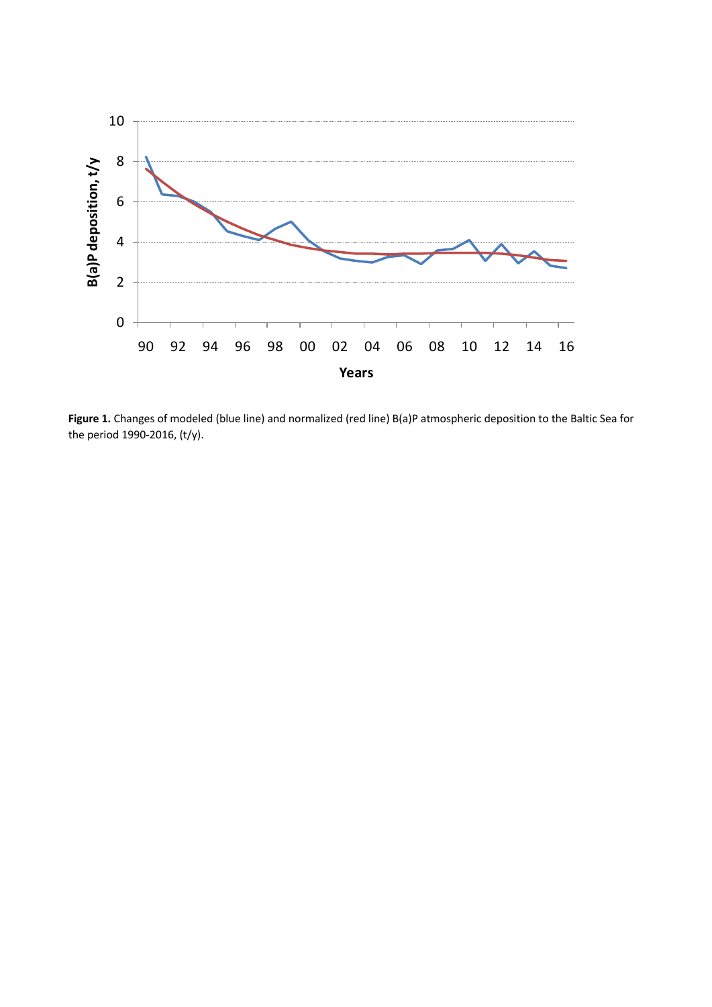

**Figure 1.** Changes of modeled (blue line) and normalized (red line) B(a)P atmospheric deposition to the Baltic Sea for the period 1990-2016, (t/y).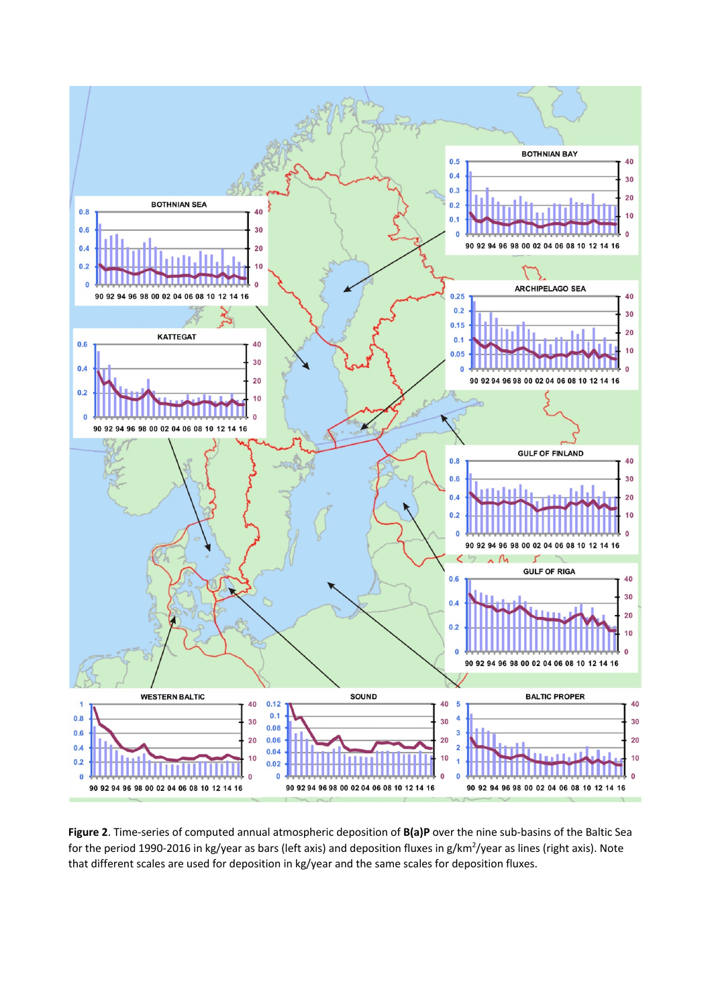

**Figure 2**. Time-series of computed annual atmospheric deposition of **B(a)P** over the nine sub-basins of the Baltic Sea for the period 1990-2016 in kg/year as bars (left axis) and deposition fluxes in g/km<sup>2</sup>/year as lines (right axis). Note that different scales are used for deposition in kg/year and the same scales for deposition fluxes.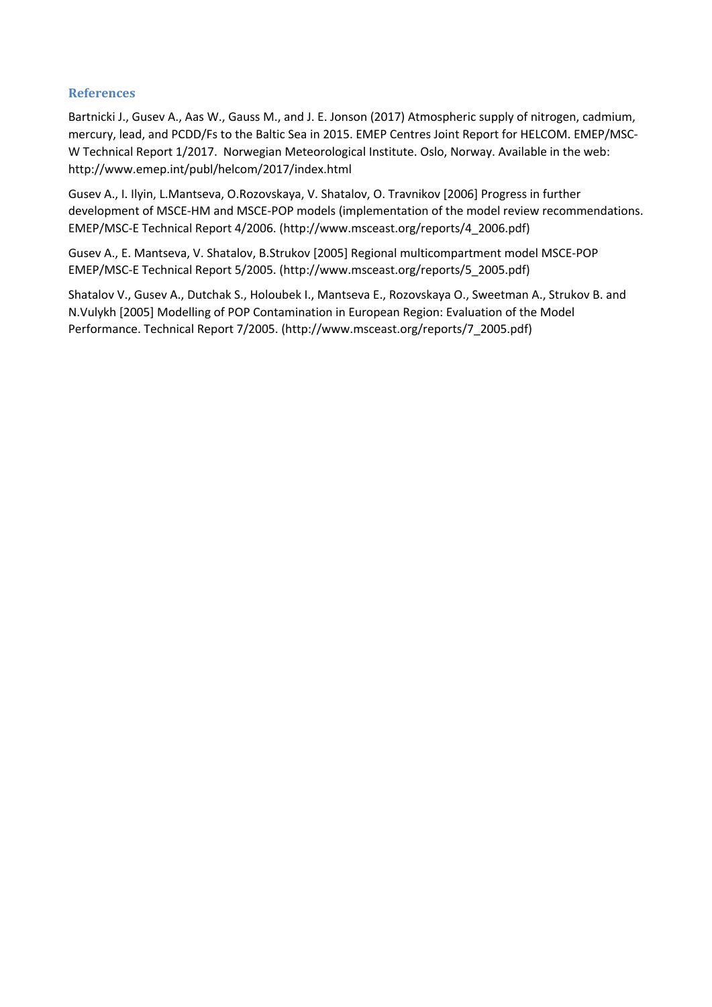## **References**

Bartnicki J., Gusev A., Aas W., Gauss M., and J. E. Jonson (2017) Atmospheric supply of nitrogen, cadmium, mercury, lead, and PCDD/Fs to the Baltic Sea in 2015. EMEP Centres Joint Report for HELCOM. EMEP/MSC-W Technical Report 1/2017. Norwegian Meteorological Institute. Oslo, Norway. Available in the web: http://www.emep.int/publ/helcom/2017/index.html

Gusev A., I. Ilyin, L.Mantseva, O.Rozovskaya, V. Shatalov, O. Travnikov [2006] Progress in further development of MSCE-HM and MSCE-POP models (implementation of the model review recommendations. EMEP/MSC-E Technical Report 4/2006. (http://www.msceast.org/reports/4\_2006.pdf)

Gusev A., E. Mantseva, V. Shatalov, B.Strukov [2005] Regional multicompartment model MSCE-POP EMEP/MSC-E Technical Report 5/2005. (http://www.msceast.org/reports/5\_2005.pdf)

Shatalov V., Gusev A., Dutchak S., Holoubek I., Mantseva E., Rozovskaya O., Sweetman A., Strukov B. and N.Vulykh [2005] Modelling of POP Contamination in European Region: Evaluation of the Model Performance. Technical Report 7/2005. (http://www.msceast.org/reports/7\_2005.pdf)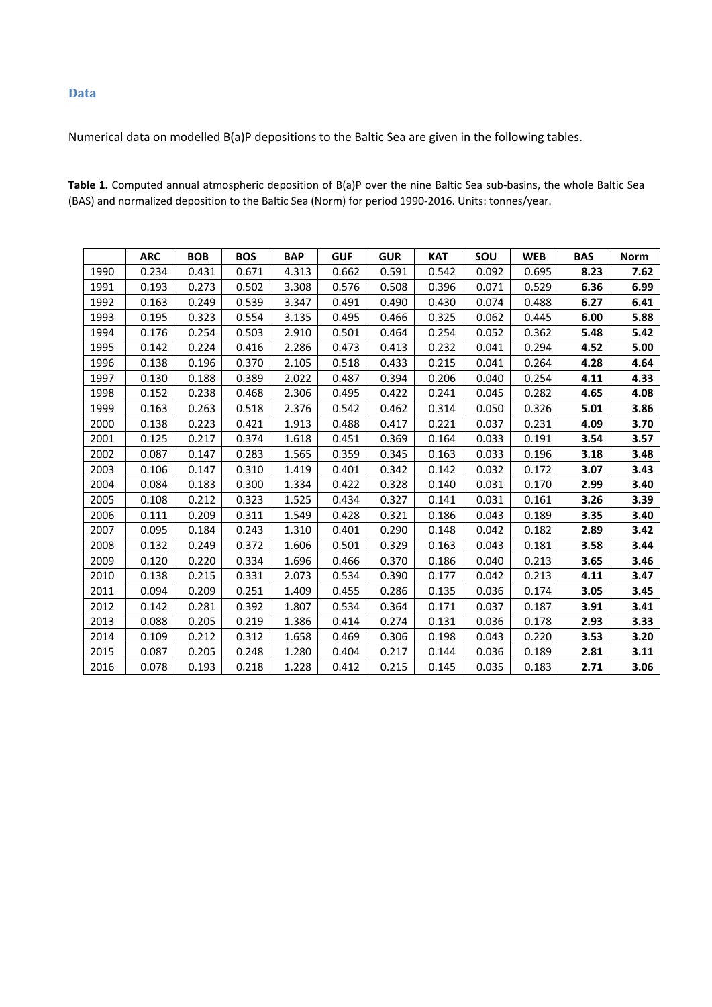#### **Data**

Numerical data on modelled B(a)P depositions to the Baltic Sea are given in the following tables.

**Table 1.** Computed annual atmospheric deposition of B(a)P over the nine Baltic Sea sub-basins, the whole Baltic Sea (BAS) and normalized deposition to the Baltic Sea (Norm) for period 1990-2016. Units: tonnes/year.

|      | <b>ARC</b> | <b>BOB</b> | <b>BOS</b> | <b>BAP</b> | <b>GUF</b> | <b>GUR</b> | <b>KAT</b> | SOU   | <b>WEB</b> | <b>BAS</b> | <b>Norm</b> |
|------|------------|------------|------------|------------|------------|------------|------------|-------|------------|------------|-------------|
| 1990 | 0.234      | 0.431      | 0.671      | 4.313      | 0.662      | 0.591      | 0.542      | 0.092 | 0.695      | 8.23       | 7.62        |
| 1991 | 0.193      | 0.273      | 0.502      | 3.308      | 0.576      | 0.508      | 0.396      | 0.071 | 0.529      | 6.36       | 6.99        |
| 1992 | 0.163      | 0.249      | 0.539      | 3.347      | 0.491      | 0.490      | 0.430      | 0.074 | 0.488      | 6.27       | 6.41        |
| 1993 | 0.195      | 0.323      | 0.554      | 3.135      | 0.495      | 0.466      | 0.325      | 0.062 | 0.445      | 6.00       | 5.88        |
| 1994 | 0.176      | 0.254      | 0.503      | 2.910      | 0.501      | 0.464      | 0.254      | 0.052 | 0.362      | 5.48       | 5.42        |
| 1995 | 0.142      | 0.224      | 0.416      | 2.286      | 0.473      | 0.413      | 0.232      | 0.041 | 0.294      | 4.52       | 5.00        |
| 1996 | 0.138      | 0.196      | 0.370      | 2.105      | 0.518      | 0.433      | 0.215      | 0.041 | 0.264      | 4.28       | 4.64        |
| 1997 | 0.130      | 0.188      | 0.389      | 2.022      | 0.487      | 0.394      | 0.206      | 0.040 | 0.254      | 4.11       | 4.33        |
| 1998 | 0.152      | 0.238      | 0.468      | 2.306      | 0.495      | 0.422      | 0.241      | 0.045 | 0.282      | 4.65       | 4.08        |
| 1999 | 0.163      | 0.263      | 0.518      | 2.376      | 0.542      | 0.462      | 0.314      | 0.050 | 0.326      | 5.01       | 3.86        |
| 2000 | 0.138      | 0.223      | 0.421      | 1.913      | 0.488      | 0.417      | 0.221      | 0.037 | 0.231      | 4.09       | 3.70        |
| 2001 | 0.125      | 0.217      | 0.374      | 1.618      | 0.451      | 0.369      | 0.164      | 0.033 | 0.191      | 3.54       | 3.57        |
| 2002 | 0.087      | 0.147      | 0.283      | 1.565      | 0.359      | 0.345      | 0.163      | 0.033 | 0.196      | 3.18       | 3.48        |
| 2003 | 0.106      | 0.147      | 0.310      | 1.419      | 0.401      | 0.342      | 0.142      | 0.032 | 0.172      | 3.07       | 3.43        |
| 2004 | 0.084      | 0.183      | 0.300      | 1.334      | 0.422      | 0.328      | 0.140      | 0.031 | 0.170      | 2.99       | 3.40        |
| 2005 | 0.108      | 0.212      | 0.323      | 1.525      | 0.434      | 0.327      | 0.141      | 0.031 | 0.161      | 3.26       | 3.39        |
| 2006 | 0.111      | 0.209      | 0.311      | 1.549      | 0.428      | 0.321      | 0.186      | 0.043 | 0.189      | 3.35       | 3.40        |
| 2007 | 0.095      | 0.184      | 0.243      | 1.310      | 0.401      | 0.290      | 0.148      | 0.042 | 0.182      | 2.89       | 3.42        |
| 2008 | 0.132      | 0.249      | 0.372      | 1.606      | 0.501      | 0.329      | 0.163      | 0.043 | 0.181      | 3.58       | 3.44        |
| 2009 | 0.120      | 0.220      | 0.334      | 1.696      | 0.466      | 0.370      | 0.186      | 0.040 | 0.213      | 3.65       | 3.46        |
| 2010 | 0.138      | 0.215      | 0.331      | 2.073      | 0.534      | 0.390      | 0.177      | 0.042 | 0.213      | 4.11       | 3.47        |
| 2011 | 0.094      | 0.209      | 0.251      | 1.409      | 0.455      | 0.286      | 0.135      | 0.036 | 0.174      | 3.05       | 3.45        |
| 2012 | 0.142      | 0.281      | 0.392      | 1.807      | 0.534      | 0.364      | 0.171      | 0.037 | 0.187      | 3.91       | 3.41        |
| 2013 | 0.088      | 0.205      | 0.219      | 1.386      | 0.414      | 0.274      | 0.131      | 0.036 | 0.178      | 2.93       | 3.33        |
| 2014 | 0.109      | 0.212      | 0.312      | 1.658      | 0.469      | 0.306      | 0.198      | 0.043 | 0.220      | 3.53       | 3.20        |
| 2015 | 0.087      | 0.205      | 0.248      | 1.280      | 0.404      | 0.217      | 0.144      | 0.036 | 0.189      | 2.81       | 3.11        |
| 2016 | 0.078      | 0.193      | 0.218      | 1.228      | 0.412      | 0.215      | 0.145      | 0.035 | 0.183      | 2.71       | 3.06        |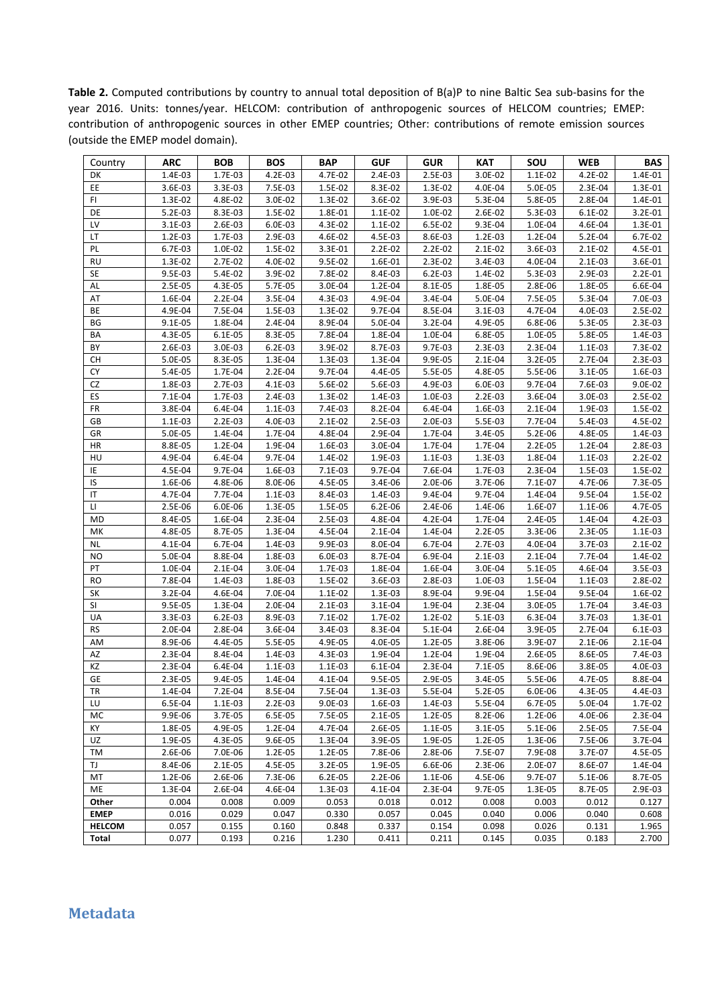**Table 2.** Computed contributions by country to annual total deposition of B(a)P to nine Baltic Sea sub-basins for the year 2016. Units: tonnes/year. HELCOM: contribution of anthropogenic sources of HELCOM countries; EMEP: contribution of anthropogenic sources in other EMEP countries; Other: contributions of remote emission sources (outside the EMEP model domain).

| Country       | <b>ARC</b>         | <b>BOB</b>         | <b>BOS</b>         | <b>BAP</b>         | <b>GUF</b>         | <b>GUR</b>         | <b>KAT</b>         | SOU                | <b>WEB</b>         | <b>BAS</b>         |
|---------------|--------------------|--------------------|--------------------|--------------------|--------------------|--------------------|--------------------|--------------------|--------------------|--------------------|
| <b>DK</b>     | 1.4E-03            | 1.7E-03            | 4.2E-03            | 4.7E-02            | 2.4E-03            | 2.5E-03            | 3.0E-02            | 1.1E-02            | 4.2E-02            | 1.4E-01            |
| EE            | 3.6E-03            | 3.3E-03            | 7.5E-03            | 1.5E-02            | 8.3E-02            | 1.3E-02            | 4.0E-04            | 5.0E-05            | 2.3E-04            | 1.3E-01            |
| FI            | 1.3E-02            | 4.8E-02            | 3.0E-02            | 1.3E-02            | 3.6E-02            | 3.9E-03            | 5.3E-04            | 5.8E-05            | 2.8E-04            | 1.4E-01            |
| DE            | 5.2E-03            | 8.3E-03            | 1.5E-02            | 1.8E-01            | 1.1E-02            | 1.0E-02            | 2.6E-02            | 5.3E-03            | $6.1E-02$          | 3.2E-01            |
| LV            | $3.1E-03$          | 2.6E-03            | 6.0E-03            | 4.3E-02            | 1.1E-02            | 6.5E-02            | 9.3E-04            | 1.0E-04            | 4.6E-04            | 1.3E-01            |
| LT            | 1.2E-03            | 1.7E-03            | 2.9E-03            | 4.6E-02            | 4.5E-03            | 8.6E-03            | 1.2E-03            | 1.2E-04            | 5.2E-04            | 6.7E-02            |
| PL            | 6.7E-03            | 1.0E-02            | 1.5E-02            | 3.3E-01            | $2.2E-02$          | 2.2E-02            | 2.1E-02            | 3.6E-03            | 2.1E-02            | 4.5E-01            |
| <b>RU</b>     | 1.3E-02            | 2.7E-02            | 4.0E-02            | 9.5E-02            | 1.6E-01            | 2.3E-02            | 3.4E-03            | 4.0E-04            | 2.1E-03            | 3.6E-01            |
| <b>SE</b>     | $9.5E-03$          | 5.4E-02            | 3.9E-02            | 7.8E-02            | 8.4E-03            | $6.2E-03$          | 1.4E-02            | 5.3E-03            | 2.9E-03            | $2.2E-01$          |
| AL            | 2.5E-05            | 4.3E-05            | 5.7E-05            | 3.0E-04            | 1.2E-04            | 8.1E-05            | 1.8E-05            | 2.8E-06            | 1.8E-05            | 6.6E-04            |
| AT            | 1.6E-04            | 2.2E-04            | 3.5E-04            | 4.3E-03            | 4.9E-04            | 3.4E-04            | 5.0E-04            | 7.5E-05            | 5.3E-04            | 7.0E-03            |
| BE            | 4.9E-04            | 7.5E-04            | 1.5E-03            | 1.3E-02            | 9.7E-04            | 8.5E-04            | 3.1E-03            | 4.7E-04            | 4.0E-03            | 2.5E-02            |
| BG            | 9.1E-05            | 1.8E-04            | 2.4E-04            | 8.9E-04            | 5.0E-04            | 3.2E-04            | 4.9E-05            | 6.8E-06            | 5.3E-05            | 2.3E-03            |
| BA            | 4.3E-05            | 6.1E-05            | 8.3E-05            | 7.8E-04            | 1.8E-04            | 1.0E-04            | 6.8E-05            | 1.0E-05            | 5.8E-05            | 1.4E-03            |
| BY            | 2.6E-03            | 3.0E-03            | $6.2E-03$          | 3.9E-02            | 8.7E-03            | 9.7E-03            | 2.3E-03            | 2.3E-04            | 1.1E-03            | 7.3E-02            |
| <b>CH</b>     | 5.0E-05            | 8.3E-05            | 1.3E-04            | 1.3E-03            | 1.3E-04            | 9.9E-05            | 2.1E-04            | 3.2E-05            | 2.7E-04            | 2.3E-03            |
| CY            | 5.4E-05            | 1.7E-04            | 2.2E-04            | 9.7E-04            | 4.4E-05            | 5.5E-05            | 4.8E-05            | 5.5E-06            | 3.1E-05            | 1.6E-03            |
| CZ            | 1.8E-03            | 2.7E-03            | 4.1E-03            | 5.6E-02            | 5.6E-03            | 4.9E-03            | 6.0E-03            | 9.7E-04            | 7.6E-03            | 9.0E-02            |
| ES            | 7.1E-04            | 1.7E-03            | 2.4E-03            | 1.3E-02            | 1.4E-03            | 1.0E-03            | $2.2E-03$          | 3.6E-04            | 3.0E-03            | 2.5E-02            |
| FR            | 3.8E-04            | 6.4E-04            | 1.1E-03            | 7.4E-03            | 8.2E-04            | 6.4E-04            | 1.6E-03            | 2.1E-04            | 1.9E-03            | 1.5E-02            |
| GB            | 1.1E-03            | $2.2E-03$          | 4.0E-03            | 2.1E-02            | 2.5E-03            | 2.0E-03            | 5.5E-03            | 7.7E-04            | 5.4E-03            | 4.5E-02            |
| GR            | 5.0E-05            | 1.4E-04            | 1.7E-04            | 4.8E-04            | 2.9E-04            | 1.7E-04            | 3.4E-05            | 5.2E-06            | 4.8E-05            | 1.4E-03            |
| HR            | 8.8E-05            | 1.2E-04            | 1.9E-04            | 1.6E-03            | 3.0E-04            | 1.7E-04            | 1.7E-04            | 2.2E-05            | 1.2E-04            | 2.8E-03            |
| HU            | 4.9E-04            | 6.4E-04            | 9.7E-04            | 1.4E-02            | 1.9E-03            | 1.1E-03            | 1.3E-03            | 1.8E-04            | 1.1E-03            | $2.2E-02$          |
| IE            | 4.5E-04            | 9.7E-04            | 1.6E-03            | 7.1E-03            | 9.7E-04            | 7.6E-04            | 1.7E-03            | 2.3E-04            | 1.5E-03            | 1.5E-02            |
| IS            | 1.6E-06            | 4.8E-06            | 8.0E-06            | 4.5E-05            | 3.4E-06            | 2.0E-06            | 3.7E-06            | 7.1E-07            | 4.7E-06            | 7.3E-05            |
| IT            | 4.7E-04            | 7.7E-04            | 1.1E-03            | 8.4E-03            | 1.4E-03            | 9.4E-04            | 9.7E-04            | 1.4E-04            | 9.5E-04            | 1.5E-02            |
| П             | 2.5E-06            | 6.0E-06            | 1.3E-05            | 1.5E-05            | 6.2E-06            | 2.4E-06            | 1.4E-06            | 1.6E-07            | 1.1E-06            | 4.7E-05            |
| <b>MD</b>     | 8.4E-05            | 1.6E-04            | 2.3E-04            | 2.5E-03            | 4.8E-04            | 4.2E-04            | 1.7E-04            | 2.4E-05            | 1.4E-04            | 4.2E-03            |
| MK            | 4.8E-05            | 8.7E-05            | 1.3E-04            | 4.5E-04            | 2.1E-04            | 1.4E-04            | 2.2E-05            | 3.3E-06            | 2.3E-05            | 1.1E-03            |
| <b>NL</b>     | 4.1E-04            | 6.7E-04            | 1.4E-03            | 9.9E-03            | 8.0E-04            | 6.7E-04            | 2.7E-03            | 4.0E-04            | 3.7E-03            | 2.1E-02            |
| <b>NO</b>     | 5.0E-04            | 8.8E-04            | 1.8E-03            | 6.0E-03            | 8.7E-04            | 6.9E-04            | 2.1E-03            | 2.1E-04            | 7.7E-04            | 1.4E-02            |
| PT            | 1.0E-04            | 2.1E-04            | 3.0E-04            | 1.7E-03            | 1.8E-04            | 1.6E-04            | 3.0E-04            | 5.1E-05            | 4.6E-04            | 3.5E-03            |
| RO            | 7.8E-04            | 1.4E-03            | 1.8E-03            | 1.5E-02            | 3.6E-03            | 2.8E-03            | 1.0E-03            | 1.5E-04            | 1.1E-03            | 2.8E-02            |
| SK<br>SI      | 3.2E-04<br>9.5E-05 | 4.6E-04<br>1.3E-04 | 7.0E-04<br>2.0E-04 | 1.1E-02<br>2.1E-03 | 1.3E-03<br>3.1E-04 | 8.9E-04<br>1.9E-04 | 9.9E-04<br>2.3E-04 | 1.5E-04<br>3.0E-05 | 9.5E-04<br>1.7E-04 | 1.6E-02<br>3.4E-03 |
| UA            | 3.3E-03            | $6.2E-03$          | 8.9E-03            | 7.1E-02            | 1.7E-02            | 1.2E-02            | 5.1E-03            | 6.3E-04            | 3.7E-03            | 1.3E-01            |
| <b>RS</b>     | 2.0E-04            | 2.8E-04            | 3.6E-04            | 3.4E-03            | 8.3E-04            | 5.1E-04            | 2.6E-04            | 3.9E-05            | 2.7E-04            | 6.1E-03            |
| AM            | 8.9E-06            | 4.4E-05            | 5.5E-05            | 4.9E-05            | 4.0E-05            | 1.2E-05            | 3.8E-06            | 3.9E-07            | 2.1E-06            | 2.1E-04            |
| AZ            | 2.3E-04            | 8.4E-04            | 1.4E-03            | 4.3E-03            | 1.9E-04            | 1.2E-04            | 1.9E-04            | 2.6E-05            | 8.6E-05            | 7.4E-03            |
| KZ            | 2.3E-04            | 6.4E-04            | 1.1E-03            | 1.1E-03            | 6.1E-04            | 2.3E-04            | 7.1E-05            | 8.6E-06            | 3.8E-05            | 4.0E-03            |
| GE            | 2.3E-05            | 9.4E-05            | 1.4E-04            | 4.1E-04            | 9.5E-05            | 2.9E-05            | 3.4E-05            | 5.5E-06            | 4.7E-05            | 8.8E-04            |
| ${\sf TR}$    | 1.4E-04            | $7.2E-04$          | 8.5E-04            | 7.5E-04            | 1.3E-03            | 5.5E-04            | $5.2E-05$          | 6.0E-06            | 4.3E-05            | 4.4E-03            |
| LU            | 6.5E-04            | 1.1E-03            | $2.2E-03$          | $9.0E-03$          | 1.6E-03            | 1.4E-03            | 5.5E-04            | 6.7E-05            | 5.0E-04            | 1.7E-02            |
| MC            | 9.9E-06            | 3.7E-05            | 6.5E-05            | 7.5E-05            | 2.1E-05            | 1.2E-05            | 8.2E-06            | 1.2E-06            | 4.0E-06            | 2.3E-04            |
| КY            | 1.8E-05            | 4.9E-05            | 1.2E-04            | 4.7E-04            | 2.6E-05            | 1.1E-05            | 3.1E-05            | 5.1E-06            | 2.5E-05            | 7.5E-04            |
| UZ            | 1.9E-05            | 4.3E-05            | 9.6E-05            | 1.3E-04            | 3.9E-05            | 1.9E-05            | 1.2E-05            | 1.3E-06            | 7.5E-06            | 3.7E-04            |
| TM            | 2.6E-06            | 7.0E-06            | 1.2E-05            | 1.2E-05            | 7.8E-06            | 2.8E-06            | 7.5E-07            | 7.9E-08            | 3.7E-07            | 4.5E-05            |
| TJ            | 8.4E-06            | 2.1E-05            | 4.5E-05            | 3.2E-05            | 1.9E-05            | 6.6E-06            | 2.3E-06            | 2.0E-07            | 8.6E-07            | 1.4E-04            |
| MT            | 1.2E-06            | 2.6E-06            | 7.3E-06            | $6.2E-05$          | $2.2E-06$          | 1.1E-06            | 4.5E-06            | 9.7E-07            | 5.1E-06            | 8.7E-05            |
| ME            | 1.3E-04            | 2.6E-04            | 4.6E-04            | 1.3E-03            | 4.1E-04            | 2.3E-04            | 9.7E-05            | $1.3E-05$          | 8.7E-05            | 2.9E-03            |
| Other         | 0.004              | 0.008              | 0.009              | 0.053              | 0.018              | 0.012              | 0.008              | 0.003              | 0.012              | 0.127              |
| <b>EMEP</b>   | 0.016              | 0.029              | 0.047              | 0.330              | 0.057              | 0.045              | 0.040              | 0.006              | 0.040              | 0.608              |
| <b>HELCOM</b> | 0.057              | 0.155              | 0.160              | 0.848              | 0.337              | 0.154              | 0.098              | 0.026              | 0.131              | 1.965              |
| Total         | 0.077              | 0.193              | 0.216              | 1.230              | 0.411              | 0.211              | 0.145              | 0.035              | 0.183              | 2.700              |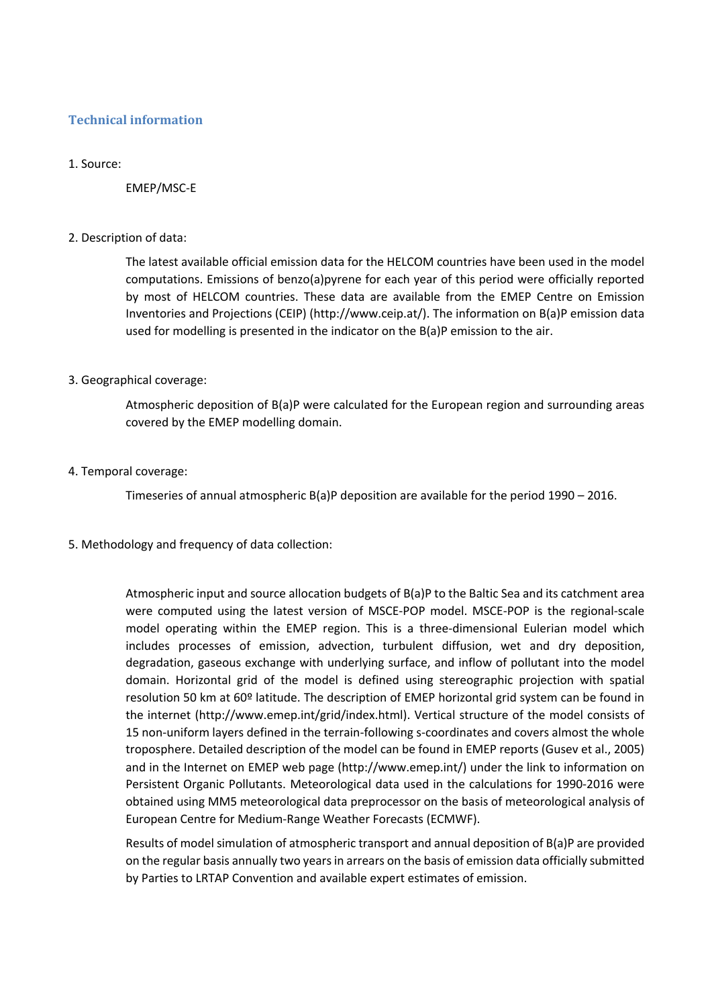## **Technical information**

## 1. Source:

EMEP/MSC-E

2. Description of data:

The latest available official emission data for the HELCOM countries have been used in the model computations. Emissions of benzo(a)pyrene for each year of this period were officially reported by most of HELCOM countries. These data are available from the EMEP Centre on Emission Inventories and Projections (CEIP) (http://www.ceip.at/). The information on B(a)P emission data used for modelling is presented in the indicator on the B(a)P emission to the air.

3. Geographical coverage:

Atmospheric deposition of B(a)P were calculated for the European region and surrounding areas covered by the EMEP modelling domain.

4. Temporal coverage:

Timeseries of annual atmospheric B(a)P deposition are available for the period 1990 – 2016.

5. Methodology and frequency of data collection:

Atmospheric input and source allocation budgets of B(a)P to the Baltic Sea and its catchment area were computed using the latest version of MSCE-POP model. MSCE-POP is the regional-scale model operating within the EMEP region. This is a three-dimensional Eulerian model which includes processes of emission, advection, turbulent diffusion, wet and dry deposition, degradation, gaseous exchange with underlying surface, and inflow of pollutant into the model domain. Horizontal grid of the model is defined using stereographic projection with spatial resolution 50 km at 60º latitude. The description of EMEP horizontal grid system can be found in the internet (http://www.emep.int/grid/index.html). Vertical structure of the model consists of 15 non-uniform layers defined in the terrain-following s-coordinates and covers almost the whole troposphere. Detailed description of the model can be found in EMEP reports (Gusev et al., 2005) and in the Internet on EMEP web page (http://www.emep.int/) under the link to information on Persistent Organic Pollutants. Meteorological data used in the calculations for 1990-2016 were obtained using MM5 meteorological data preprocessor on the basis of meteorological analysis of European Centre for Medium-Range Weather Forecasts (ECMWF).

Results of model simulation of atmospheric transport and annual deposition of B(a)P are provided on the regular basis annually two years in arrears on the basis of emission data officially submitted by Parties to LRTAP Convention and available expert estimates of emission.